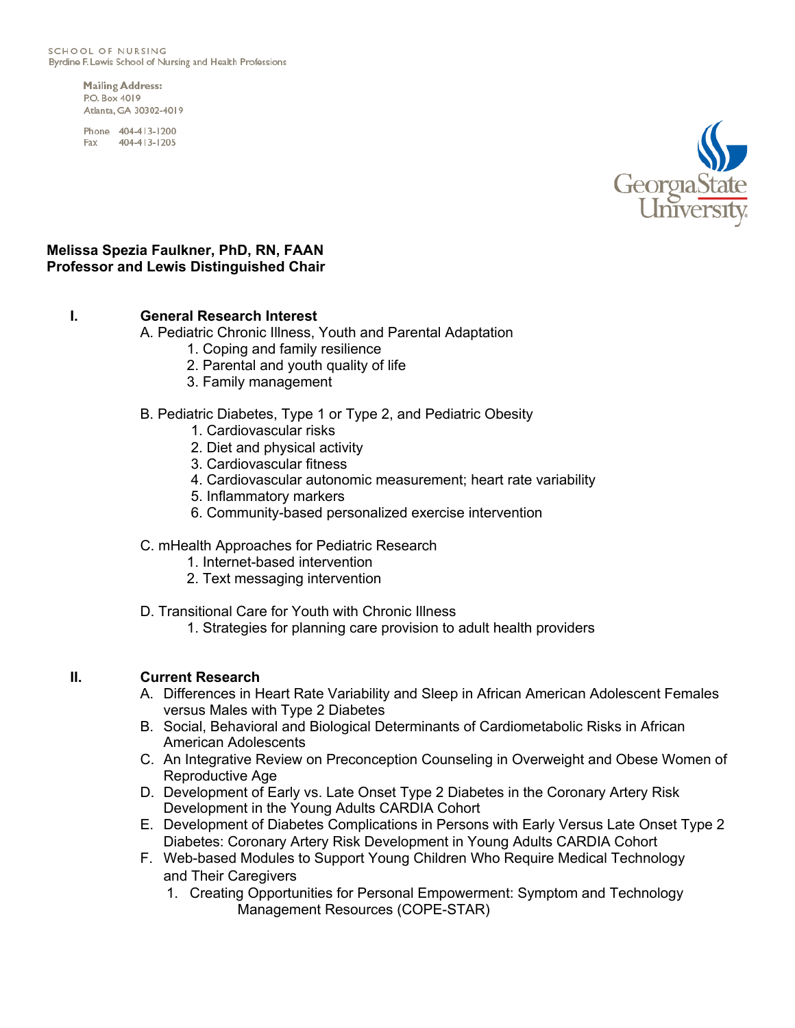SCHOOL OF NURSING Byrdine F. Lewis School of Nursing and Health Professions

> **Mailing Address: P.O. Rox 4019** Atlanta, GA 30302-4019

Phone 404-413-1200 Fax 404-413-1205



### **Melissa Spezia Faulkner, PhD, RN, FAAN Professor and Lewis Distinguished Chair**

## **I. General Research Interest**

A. Pediatric Chronic Illness, Youth and Parental Adaptation

- 1. Coping and family resilience
- 2. Parental and youth quality of life
- 3. Family management
- B. Pediatric Diabetes, Type 1 or Type 2, and Pediatric Obesity
	- 1. Cardiovascular risks
	- 2. Diet and physical activity
	- 3. Cardiovascular fitness
	- 4. Cardiovascular autonomic measurement; heart rate variability
	- 5. Inflammatory markers
	- 6. Community-based personalized exercise intervention

### C. mHealth Approaches for Pediatric Research

- 1. Internet-based intervention
- 2. Text messaging intervention

### D. Transitional Care for Youth with Chronic Illness

1. Strategies for planning care provision to adult health providers

### **II. Current Research**

- A. Differences in Heart Rate Variability and Sleep in African American Adolescent Females versus Males with Type 2 Diabetes
- B. Social, Behavioral and Biological Determinants of Cardiometabolic Risks in African American Adolescents
- C. An Integrative Review on Preconception Counseling in Overweight and Obese Women of Reproductive Age
- D. Development of Early vs. Late Onset Type 2 Diabetes in the Coronary Artery Risk Development in the Young Adults CARDIA Cohort
- E. Development of Diabetes Complications in Persons with Early Versus Late Onset Type 2 Diabetes: Coronary Artery Risk Development in Young Adults CARDIA Cohort
- F. Web-based Modules to Support Young Children Who Require Medical Technology and Their Caregivers
	- 1. Creating Opportunities for Personal Empowerment: Symptom and Technology Management Resources (COPE-STAR)